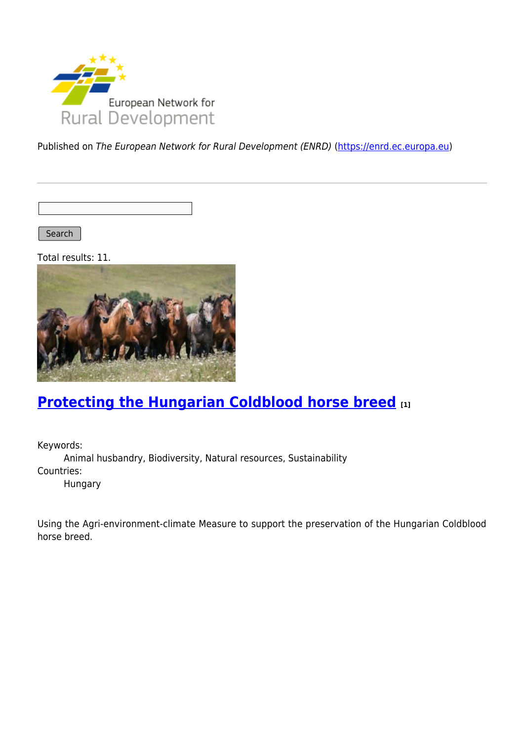

Published on The European Network for Rural Development (ENRD) [\(https://enrd.ec.europa.eu](https://enrd.ec.europa.eu))

Search |

Total results: 11.



## **[Protecting the Hungarian Coldblood horse breed](https://enrd.ec.europa.eu/projects-practice/protecting-hungarian-coldblood-horse-breed_en) [1]**

Keywords: Animal husbandry, Biodiversity, Natural resources, Sustainability Countries: Hungary

Using the Agri-environment-climate Measure to support the preservation of the Hungarian Coldblood horse breed.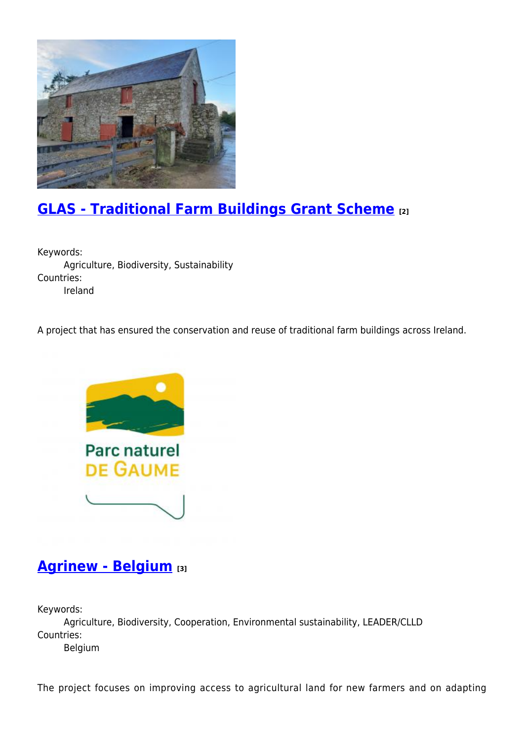

# **[GLAS - Traditional Farm Buildings Grant Scheme](https://enrd.ec.europa.eu/projects-practice/glas-traditional-farm-buildings-grant-scheme_en) [2]**

Keywords: Agriculture, Biodiversity, Sustainability Countries: Ireland

A project that has ensured the conservation and reuse of traditional farm buildings across Ireland.



### **[Agrinew - Belgium](https://enrd.ec.europa.eu/projects-practice/agrinew-belgium_en) [3]**

Keywords:

Agriculture, Biodiversity, Cooperation, Environmental sustainability, LEADER/CLLD Countries:

Belgium

The project focuses on improving access to agricultural land for new farmers and on adapting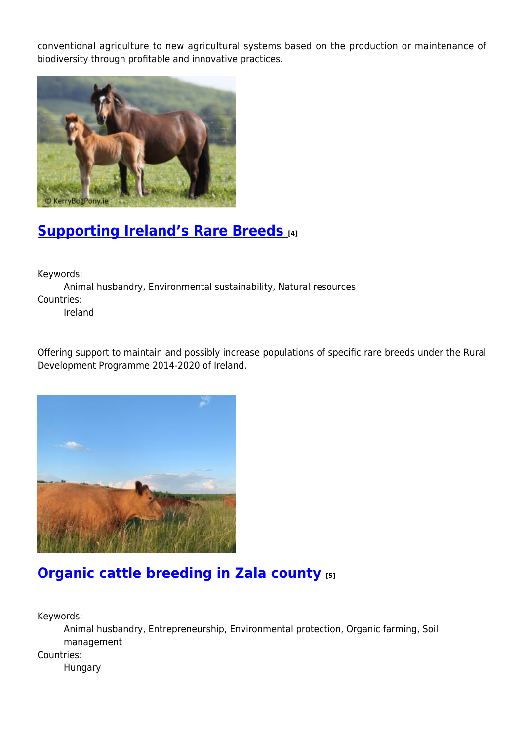conventional agriculture to new agricultural systems based on the production or maintenance of biodiversity through profitable and innovative practices.



# **[Supporting Ireland's Rare Breeds](https://enrd.ec.europa.eu/projects-practice/supporting-irelands-rare-breeds_en) [4]**

Keywords:

Animal husbandry, Environmental sustainability, Natural resources Countries:

Ireland

Offering support to maintain and possibly increase populations of specific rare breeds under the Rural Development Programme 2014-2020 of Ireland.



## **[Organic cattle breeding in Zala county](https://enrd.ec.europa.eu/projects-practice/organic-cattle-breeding-zala-county_en) [5]**

Keywords:

Animal husbandry, Entrepreneurship, Environmental protection, Organic farming, Soil management

Countries:

Hungary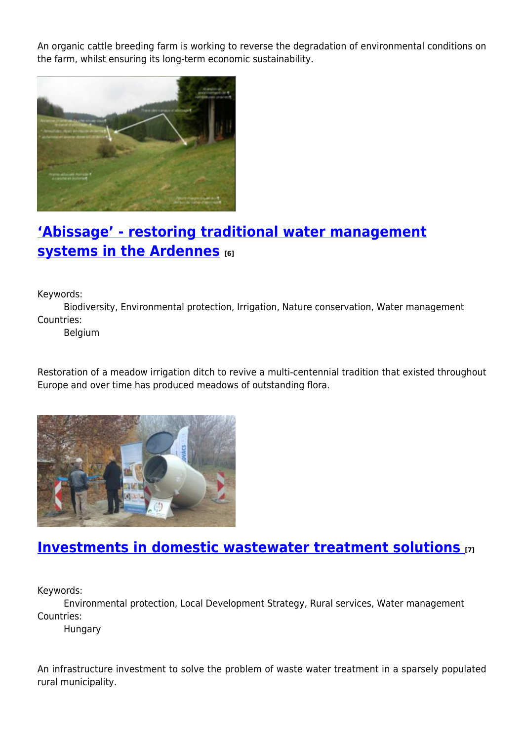An organic cattle breeding farm is working to reverse the degradation of environmental conditions on the farm, whilst ensuring its long-term economic sustainability.



## **['Abissage' - restoring traditional water management](https://enrd.ec.europa.eu/projects-practice/abissage-restoring-traditional-water-management-systems-ardennes_en) [systems in the Ardennes](https://enrd.ec.europa.eu/projects-practice/abissage-restoring-traditional-water-management-systems-ardennes_en) [6]**

Keywords:

Biodiversity, Environmental protection, Irrigation, Nature conservation, Water management Countries:

Belgium

Restoration of a meadow irrigation ditch to revive a multi-centennial tradition that existed throughout Europe and over time has produced meadows of outstanding flora.



### **[Investments in domestic wastewater treatment solutions](https://enrd.ec.europa.eu/projects-practice/investments-domestic-wastewater-treatment-solutions_en) [7]**

Keywords:

Environmental protection, Local Development Strategy, Rural services, Water management Countries:

Hungary

An infrastructure investment to solve the problem of waste water treatment in a sparsely populated rural municipality.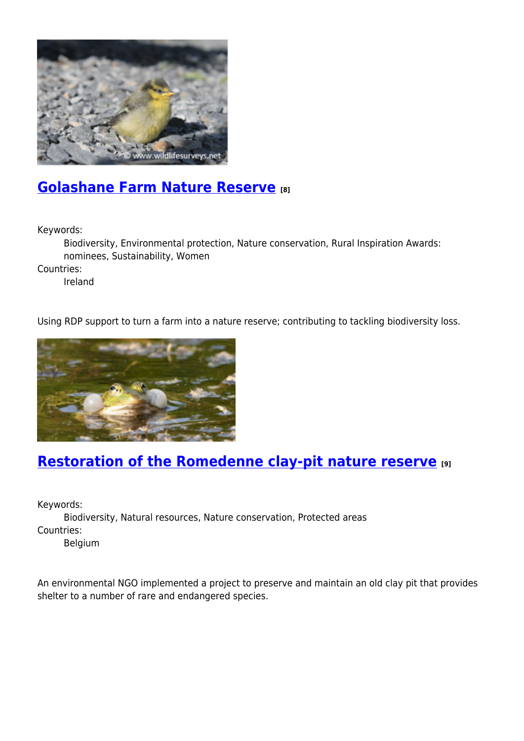

### **[Golashane Farm Nature Reserve](https://enrd.ec.europa.eu/projects-practice/golashane-farm-nature-reserve_en) [8]**

Keywords:

Biodiversity, Environmental protection, Nature conservation, Rural Inspiration Awards: nominees, Sustainability, Women

Countries:

Ireland

Using RDP support to turn a farm into a nature reserve; contributing to tackling biodiversity loss.



## **[Restoration of the Romedenne clay-pit nature reserve](https://enrd.ec.europa.eu/projects-practice/restoration-romedenne-clay-pit-nature-reserve_en) [9]**

Keywords:

Biodiversity, Natural resources, Nature conservation, Protected areas Countries:

Belgium

An environmental NGO implemented a project to preserve and maintain an old clay pit that provides shelter to a number of rare and endangered species.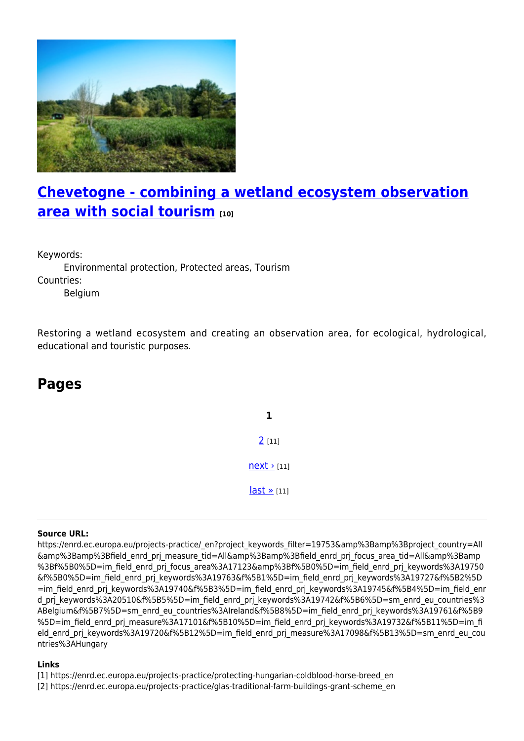

## **[Chevetogne - combining a wetland ecosystem observation](https://enrd.ec.europa.eu/projects-practice/chevetogne-combining-wetland-ecosystem-observation-area-social-tourism_en) [area with social tourism](https://enrd.ec.europa.eu/projects-practice/chevetogne-combining-wetland-ecosystem-observation-area-social-tourism_en) [10]**

Keywords:

Environmental protection, Protected areas, Tourism Countries:

Belgium

Restoring a wetland ecosystem and creating an observation area, for ecological, hydrological, educational and touristic purposes.

#### **Pages**

**1** [2](https://enrd.ec.europa.eu/projects-practice/_en?page=1&project_keywords_filter=19753&%3Bamp%3Bproject_country=All&%3Bamp%3Bfield_enrd_prj_measure_tid=All&%3Bamp%3Bfield_enrd_prj_focus_area_tid=All&%3Bamp%3Bf%5B0%5D=im_field_enrd_prj_focus_area%3A17123&%3Bf%5B0%5D=im_field_enrd_prj_keywords%3A19750&f%5B0%5D=im_field_enrd_prj_keywords%3A19763&f%5B1%5D=im_field_enrd_prj_keywords%3A19727&f%5B2%5D=im_field_enrd_prj_keywords%3A19740&f%5B3%5D=im_field_enrd_prj_keywords%3A19745&f%5B4%5D=im_field_enrd_prj_keywords%3A20510&f%5B5%5D=im_field_enrd_prj_keywords%3A19742&f%5B6%5D=sm_enrd_eu_countries%3ABelgium&f%5B7%5D=sm_enrd_eu_countries%3AIreland&f%5B8%5D=im_field_enrd_prj_keywords%3A19761&f%5B9%5D=im_field_enrd_prj_measure%3A17101&f%5B10%5D=im_field_enrd_prj_keywords%3A19732&f%5B11%5D=im_field_enrd_prj_keywords%3A19720&f%5B12%5D=im_field_enrd_prj_measure%3A17098&f%5B13%5D=sm_enrd_eu_countries%3AHungary) [11]  $next$  [11] [last »](https://enrd.ec.europa.eu/projects-practice/_en?page=1&project_keywords_filter=19753&%3Bamp%3Bproject_country=All&%3Bamp%3Bfield_enrd_prj_measure_tid=All&%3Bamp%3Bfield_enrd_prj_focus_area_tid=All&%3Bamp%3Bf%5B0%5D=im_field_enrd_prj_focus_area%3A17123&%3Bf%5B0%5D=im_field_enrd_prj_keywords%3A19750&f%5B0%5D=im_field_enrd_prj_keywords%3A19763&f%5B1%5D=im_field_enrd_prj_keywords%3A19727&f%5B2%5D=im_field_enrd_prj_keywords%3A19740&f%5B3%5D=im_field_enrd_prj_keywords%3A19745&f%5B4%5D=im_field_enrd_prj_keywords%3A20510&f%5B5%5D=im_field_enrd_prj_keywords%3A19742&f%5B6%5D=sm_enrd_eu_countries%3ABelgium&f%5B7%5D=sm_enrd_eu_countries%3AIreland&f%5B8%5D=im_field_enrd_prj_keywords%3A19761&f%5B9%5D=im_field_enrd_prj_measure%3A17101&f%5B10%5D=im_field_enrd_prj_keywords%3A19732&f%5B11%5D=im_field_enrd_prj_keywords%3A19720&f%5B12%5D=im_field_enrd_prj_measure%3A17098&f%5B13%5D=sm_enrd_eu_countries%3AHungary) [11]

#### **Source URL:**

https://enrd.ec.europa.eu/projects-practice/\_en?project\_keywords\_filter=19753&amp%3Bamp%3Bproject\_country=All &amp%3Bamp%3Bfield\_enrd\_prj\_measure\_tid=All&amp%3Bamp%3Bfield\_enrd\_prj\_focus\_area\_tid=All&amp%3Bamp %3Bf%5B0%5D=im field enrd prj focus area%3A17123&amp%3Bf%5B0%5D=im field enrd prj keywords%3A19750 &f%5B0%5D=im\_field\_enrd\_prj\_keywords%3A19763&f%5B1%5D=im\_field\_enrd\_prj\_keywords%3A19727&f%5B2%5D =im\_field\_enrd\_prj\_keywords%3A19740&f%5B3%5D=im\_field\_enrd\_prj\_keywords%3A19745&f%5B4%5D=im\_field\_enr d\_prj\_keywords%3A20510&f%5B5%5D=im\_field\_enrd\_prj\_keywords%3A19742&f%5B6%5D=sm\_enrd\_eu\_countries%3 ABelgium&f%5B7%5D=sm\_enrd\_eu\_countries%3AIreland&f%5B8%5D=im\_field\_enrd\_prj\_keywords%3A19761&f%5B9 %5D=im\_field\_enrd\_prj\_measure%3A17101&f%5B10%5D=im\_field\_enrd\_prj\_keywords%3A19732&f%5B11%5D=im\_fi eld enrd prj keywords%3A19720&f%5B12%5D=im field enrd prj measure%3A17098&f%5B13%5D=sm enrd eu cou ntries%3AHungary

#### **Links**

- [1] https://enrd.ec.europa.eu/projects-practice/protecting-hungarian-coldblood-horse-breed\_en
- [2] https://enrd.ec.europa.eu/projects-practice/glas-traditional-farm-buildings-grant-scheme\_en